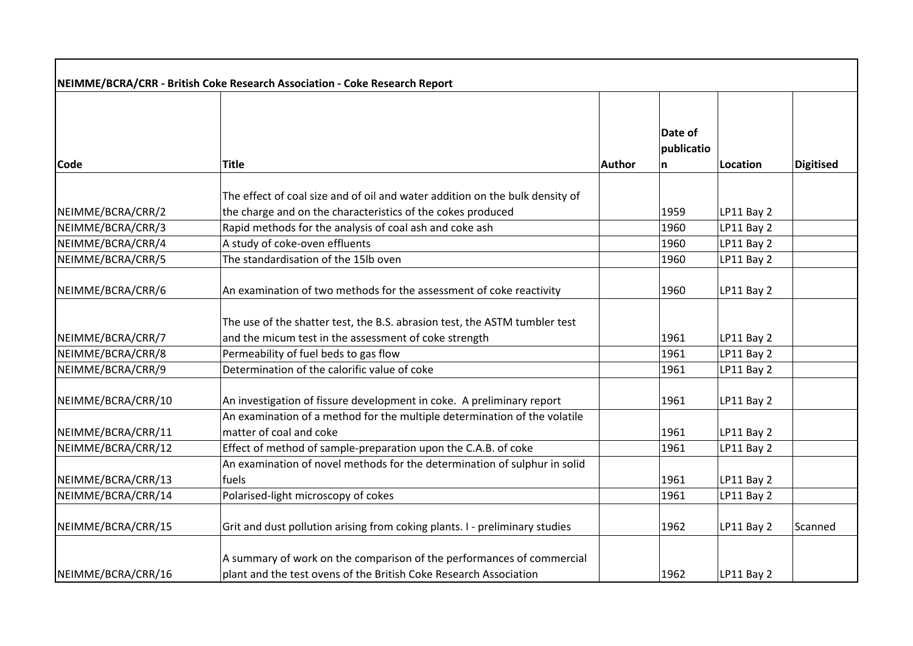| NEIMME/BCRA/CRR - British Coke Research Association - Coke Research Report |                                                                                                      |               |                            |            |                  |
|----------------------------------------------------------------------------|------------------------------------------------------------------------------------------------------|---------------|----------------------------|------------|------------------|
| Code                                                                       | <b>Title</b>                                                                                         | <b>Author</b> | Date of<br>publicatio<br>n | Location   | <b>Digitised</b> |
|                                                                            |                                                                                                      |               |                            |            |                  |
|                                                                            | The effect of coal size and of oil and water addition on the bulk density of                         |               |                            |            |                  |
| NEIMME/BCRA/CRR/2                                                          | the charge and on the characteristics of the cokes produced                                          |               | 1959                       | LP11 Bay 2 |                  |
| NEIMME/BCRA/CRR/3                                                          | Rapid methods for the analysis of coal ash and coke ash                                              |               | 1960                       | LP11 Bay 2 |                  |
| NEIMME/BCRA/CRR/4                                                          | A study of coke-oven effluents                                                                       |               | 1960                       | LP11 Bay 2 |                  |
| NEIMME/BCRA/CRR/5                                                          | The standardisation of the 15lb oven                                                                 |               | 1960                       | LP11 Bay 2 |                  |
| NEIMME/BCRA/CRR/6                                                          | An examination of two methods for the assessment of coke reactivity                                  |               | 1960                       | LP11 Bay 2 |                  |
|                                                                            | The use of the shatter test, the B.S. abrasion test, the ASTM tumbler test                           |               |                            |            |                  |
| NEIMME/BCRA/CRR/7                                                          | and the micum test in the assessment of coke strength                                                |               | 1961                       | LP11 Bay 2 |                  |
| NEIMME/BCRA/CRR/8                                                          | Permeability of fuel beds to gas flow                                                                |               | 1961                       | LP11 Bay 2 |                  |
| NEIMME/BCRA/CRR/9                                                          | Determination of the calorific value of coke                                                         |               | 1961                       | LP11 Bay 2 |                  |
| NEIMME/BCRA/CRR/10                                                         | An investigation of fissure development in coke. A preliminary report                                |               | 1961                       | LP11 Bay 2 |                  |
| NEIMME/BCRA/CRR/11                                                         | An examination of a method for the multiple determination of the volatile<br>matter of coal and coke |               | 1961                       | LP11 Bay 2 |                  |
| NEIMME/BCRA/CRR/12                                                         | Effect of method of sample-preparation upon the C.A.B. of coke                                       |               | 1961                       | LP11 Bay 2 |                  |
|                                                                            | An examination of novel methods for the determination of sulphur in solid                            |               |                            |            |                  |
| NEIMME/BCRA/CRR/13                                                         | fuels                                                                                                |               | 1961                       | LP11 Bay 2 |                  |
| NEIMME/BCRA/CRR/14                                                         | Polarised-light microscopy of cokes                                                                  |               | 1961                       | LP11 Bay 2 |                  |
| NEIMME/BCRA/CRR/15                                                         | Grit and dust pollution arising from coking plants. I - preliminary studies                          |               | 1962                       | LP11 Bay 2 | Scanned          |
|                                                                            | A summary of work on the comparison of the performances of commercial                                |               |                            |            |                  |
| NEIMME/BCRA/CRR/16                                                         | plant and the test ovens of the British Coke Research Association                                    |               | 1962                       | LP11 Bay 2 |                  |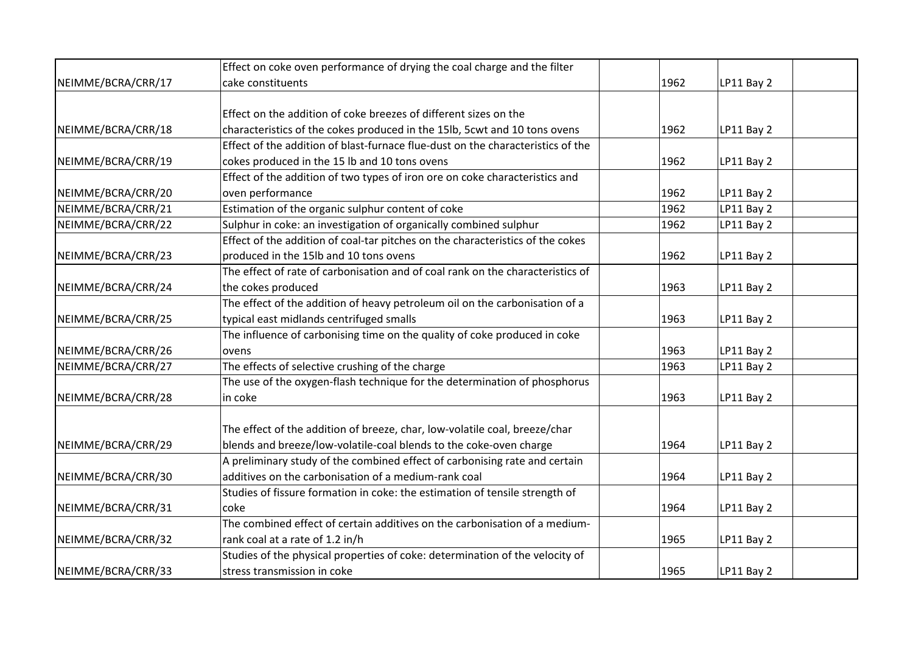|                    | Effect on coke oven performance of drying the coal charge and the filter        |      |            |
|--------------------|---------------------------------------------------------------------------------|------|------------|
| NEIMME/BCRA/CRR/17 | cake constituents                                                               | 1962 | LP11 Bay 2 |
|                    |                                                                                 |      |            |
|                    | Effect on the addition of coke breezes of different sizes on the                |      |            |
| NEIMME/BCRA/CRR/18 | characteristics of the cokes produced in the 15lb, 5cwt and 10 tons ovens       | 1962 | LP11 Bay 2 |
|                    | Effect of the addition of blast-furnace flue-dust on the characteristics of the |      |            |
| NEIMME/BCRA/CRR/19 | cokes produced in the 15 lb and 10 tons ovens                                   | 1962 | LP11 Bay 2 |
|                    | Effect of the addition of two types of iron ore on coke characteristics and     |      |            |
| NEIMME/BCRA/CRR/20 | oven performance                                                                | 1962 | LP11 Bay 2 |
| NEIMME/BCRA/CRR/21 | Estimation of the organic sulphur content of coke                               | 1962 | LP11 Bay 2 |
| NEIMME/BCRA/CRR/22 | Sulphur in coke: an investigation of organically combined sulphur               | 1962 | LP11 Bay 2 |
|                    | Effect of the addition of coal-tar pitches on the characteristics of the cokes  |      |            |
| NEIMME/BCRA/CRR/23 | produced in the 15lb and 10 tons ovens                                          | 1962 | LP11 Bay 2 |
|                    | The effect of rate of carbonisation and of coal rank on the characteristics of  |      |            |
| NEIMME/BCRA/CRR/24 | the cokes produced                                                              | 1963 | LP11 Bay 2 |
|                    | The effect of the addition of heavy petroleum oil on the carbonisation of a     |      |            |
| NEIMME/BCRA/CRR/25 | typical east midlands centrifuged smalls                                        | 1963 | LP11 Bay 2 |
|                    | The influence of carbonising time on the quality of coke produced in coke       |      |            |
| NEIMME/BCRA/CRR/26 | ovens                                                                           | 1963 | LP11 Bay 2 |
| NEIMME/BCRA/CRR/27 | The effects of selective crushing of the charge                                 | 1963 | LP11 Bay 2 |
|                    | The use of the oxygen-flash technique for the determination of phosphorus       |      |            |
| NEIMME/BCRA/CRR/28 | in coke                                                                         | 1963 | LP11 Bay 2 |
|                    |                                                                                 |      |            |
|                    | The effect of the addition of breeze, char, low-volatile coal, breeze/char      |      |            |
| NEIMME/BCRA/CRR/29 | blends and breeze/low-volatile-coal blends to the coke-oven charge              | 1964 | LP11 Bay 2 |
|                    | A preliminary study of the combined effect of carbonising rate and certain      |      |            |
| NEIMME/BCRA/CRR/30 | additives on the carbonisation of a medium-rank coal                            | 1964 | LP11 Bay 2 |
|                    | Studies of fissure formation in coke: the estimation of tensile strength of     |      |            |
| NEIMME/BCRA/CRR/31 | coke                                                                            | 1964 | LP11 Bay 2 |
|                    | The combined effect of certain additives on the carbonisation of a medium-      |      |            |
| NEIMME/BCRA/CRR/32 | rank coal at a rate of 1.2 in/h                                                 | 1965 | LP11 Bay 2 |
|                    | Studies of the physical properties of coke: determination of the velocity of    |      |            |
| NEIMME/BCRA/CRR/33 | stress transmission in coke                                                     | 1965 | LP11 Bay 2 |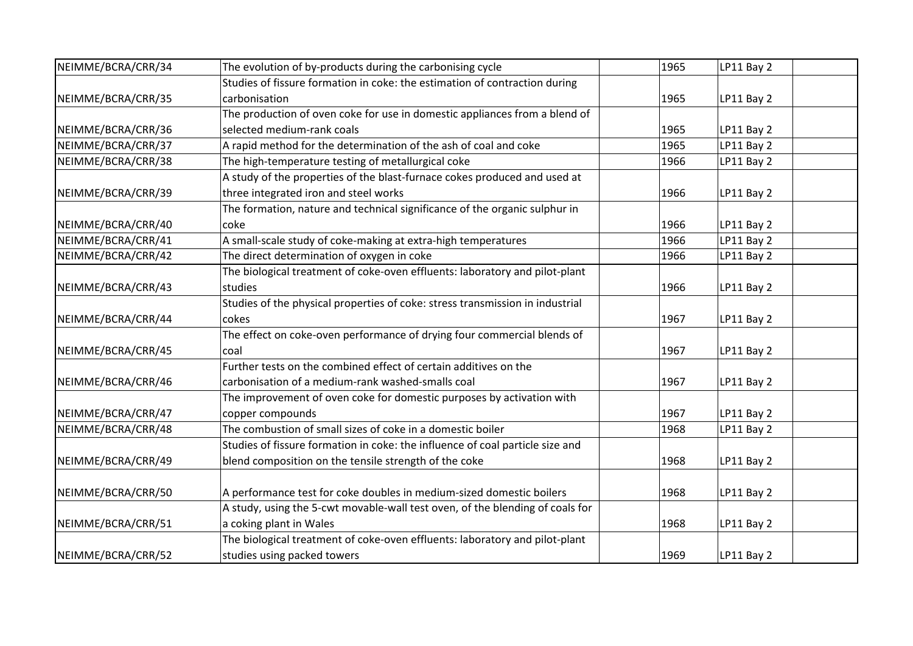| NEIMME/BCRA/CRR/34 | The evolution of by-products during the carbonising cycle                     | 1965 | LP11 Bay 2 |  |
|--------------------|-------------------------------------------------------------------------------|------|------------|--|
|                    | Studies of fissure formation in coke: the estimation of contraction during    |      |            |  |
| NEIMME/BCRA/CRR/35 | carbonisation                                                                 | 1965 | LP11 Bay 2 |  |
|                    | The production of oven coke for use in domestic appliances from a blend of    |      |            |  |
| NEIMME/BCRA/CRR/36 | selected medium-rank coals                                                    | 1965 | LP11 Bay 2 |  |
| NEIMME/BCRA/CRR/37 | A rapid method for the determination of the ash of coal and coke              | 1965 | LP11 Bay 2 |  |
| NEIMME/BCRA/CRR/38 | The high-temperature testing of metallurgical coke                            | 1966 | LP11 Bay 2 |  |
|                    | A study of the properties of the blast-furnace cokes produced and used at     |      |            |  |
| NEIMME/BCRA/CRR/39 | three integrated iron and steel works                                         | 1966 | LP11 Bay 2 |  |
|                    | The formation, nature and technical significance of the organic sulphur in    |      |            |  |
| NEIMME/BCRA/CRR/40 | coke                                                                          | 1966 | LP11 Bay 2 |  |
| NEIMME/BCRA/CRR/41 | A small-scale study of coke-making at extra-high temperatures                 | 1966 | LP11 Bay 2 |  |
| NEIMME/BCRA/CRR/42 | The direct determination of oxygen in coke                                    | 1966 | LP11 Bay 2 |  |
|                    | The biological treatment of coke-oven effluents: laboratory and pilot-plant   |      |            |  |
| NEIMME/BCRA/CRR/43 | studies                                                                       | 1966 | LP11 Bay 2 |  |
|                    | Studies of the physical properties of coke: stress transmission in industrial |      |            |  |
| NEIMME/BCRA/CRR/44 | cokes                                                                         | 1967 | LP11 Bay 2 |  |
|                    | The effect on coke-oven performance of drying four commercial blends of       |      |            |  |
| NEIMME/BCRA/CRR/45 | coal                                                                          | 1967 | LP11 Bay 2 |  |
|                    | Further tests on the combined effect of certain additives on the              |      |            |  |
| NEIMME/BCRA/CRR/46 | carbonisation of a medium-rank washed-smalls coal                             | 1967 | LP11 Bay 2 |  |
|                    | The improvement of oven coke for domestic purposes by activation with         |      |            |  |
| NEIMME/BCRA/CRR/47 | copper compounds                                                              | 1967 | LP11 Bay 2 |  |
| NEIMME/BCRA/CRR/48 | The combustion of small sizes of coke in a domestic boiler                    | 1968 | LP11 Bay 2 |  |
|                    | Studies of fissure formation in coke: the influence of coal particle size and |      |            |  |
| NEIMME/BCRA/CRR/49 | blend composition on the tensile strength of the coke                         | 1968 | LP11 Bay 2 |  |
|                    | A performance test for coke doubles in medium-sized domestic boilers          |      |            |  |
| NEIMME/BCRA/CRR/50 |                                                                               | 1968 | LP11 Bay 2 |  |
|                    | A study, using the 5-cwt movable-wall test oven, of the blending of coals for |      |            |  |
| NEIMME/BCRA/CRR/51 | a coking plant in Wales                                                       | 1968 | LP11 Bay 2 |  |
|                    | The biological treatment of coke-oven effluents: laboratory and pilot-plant   |      |            |  |
| NEIMME/BCRA/CRR/52 | studies using packed towers                                                   | 1969 | LP11 Bay 2 |  |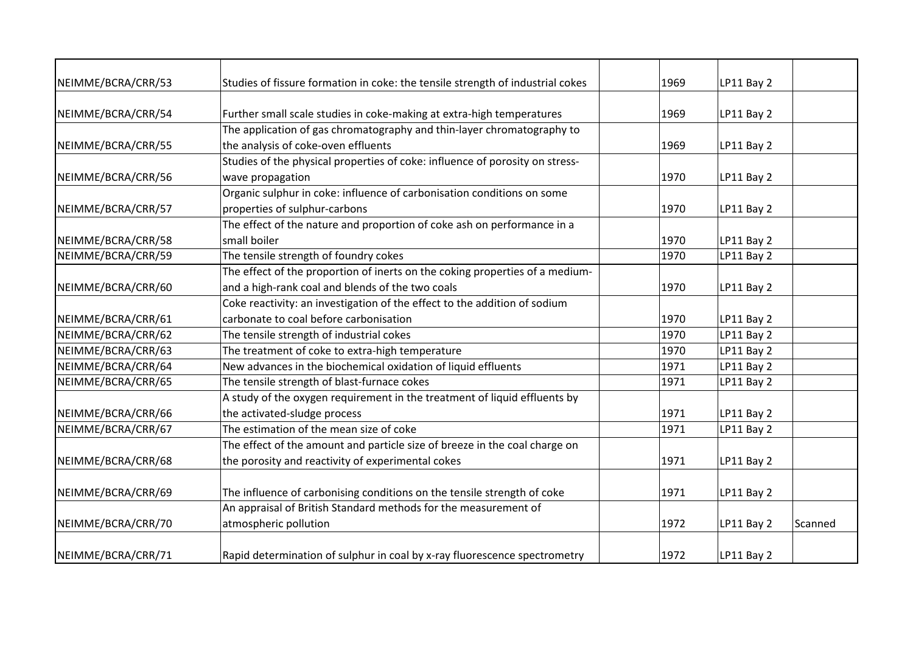| NEIMME/BCRA/CRR/53 | Studies of fissure formation in coke: the tensile strength of industrial cokes | 1969 | LP11 Bay 2 |         |
|--------------------|--------------------------------------------------------------------------------|------|------------|---------|
|                    |                                                                                |      |            |         |
| NEIMME/BCRA/CRR/54 | Further small scale studies in coke-making at extra-high temperatures          | 1969 | LP11 Bay 2 |         |
|                    | The application of gas chromatography and thin-layer chromatography to         |      |            |         |
| NEIMME/BCRA/CRR/55 | the analysis of coke-oven effluents                                            | 1969 | LP11 Bay 2 |         |
|                    | Studies of the physical properties of coke: influence of porosity on stress-   |      |            |         |
| NEIMME/BCRA/CRR/56 | wave propagation                                                               | 1970 | LP11 Bay 2 |         |
|                    | Organic sulphur in coke: influence of carbonisation conditions on some         |      |            |         |
| NEIMME/BCRA/CRR/57 | properties of sulphur-carbons                                                  | 1970 | LP11 Bay 2 |         |
|                    | The effect of the nature and proportion of coke ash on performance in a        |      |            |         |
| NEIMME/BCRA/CRR/58 | small boiler                                                                   | 1970 | LP11 Bay 2 |         |
| NEIMME/BCRA/CRR/59 | The tensile strength of foundry cokes                                          | 1970 | LP11 Bay 2 |         |
|                    | The effect of the proportion of inerts on the coking properties of a medium-   |      |            |         |
| NEIMME/BCRA/CRR/60 | and a high-rank coal and blends of the two coals                               | 1970 | LP11 Bay 2 |         |
|                    | Coke reactivity: an investigation of the effect to the addition of sodium      |      |            |         |
| NEIMME/BCRA/CRR/61 | carbonate to coal before carbonisation                                         | 1970 | LP11 Bay 2 |         |
| NEIMME/BCRA/CRR/62 | The tensile strength of industrial cokes                                       | 1970 | LP11 Bay 2 |         |
| NEIMME/BCRA/CRR/63 | The treatment of coke to extra-high temperature                                | 1970 | LP11 Bay 2 |         |
| NEIMME/BCRA/CRR/64 | New advances in the biochemical oxidation of liquid effluents                  | 1971 | LP11 Bay 2 |         |
| NEIMME/BCRA/CRR/65 | The tensile strength of blast-furnace cokes                                    | 1971 | LP11 Bay 2 |         |
|                    | A study of the oxygen requirement in the treatment of liquid effluents by      |      |            |         |
| NEIMME/BCRA/CRR/66 | the activated-sludge process                                                   | 1971 | LP11 Bay 2 |         |
| NEIMME/BCRA/CRR/67 | The estimation of the mean size of coke                                        | 1971 | LP11 Bay 2 |         |
|                    | The effect of the amount and particle size of breeze in the coal charge on     |      |            |         |
| NEIMME/BCRA/CRR/68 | the porosity and reactivity of experimental cokes                              | 1971 | LP11 Bay 2 |         |
| NEIMME/BCRA/CRR/69 | The influence of carbonising conditions on the tensile strength of coke        | 1971 | LP11 Bay 2 |         |
|                    | An appraisal of British Standard methods for the measurement of                |      |            |         |
| NEIMME/BCRA/CRR/70 | atmospheric pollution                                                          | 1972 | LP11 Bay 2 | Scanned |
|                    |                                                                                |      |            |         |
| NEIMME/BCRA/CRR/71 | Rapid determination of sulphur in coal by x-ray fluorescence spectrometry      | 1972 | LP11 Bay 2 |         |